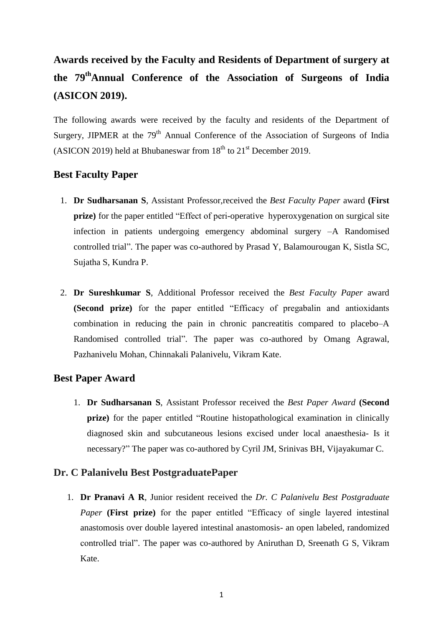# **Awards received by the Faculty and Residents of Department of surgery at the 79thAnnual Conference of the Association of Surgeons of India (ASICON 2019).**

The following awards were received by the faculty and residents of the Department of Surgery, JIPMER at the  $79<sup>th</sup>$  Annual Conference of the Association of Surgeons of India (ASICON 2019) held at Bhubaneswar from  $18<sup>th</sup>$  to  $21<sup>st</sup>$  December 2019.

## **Best Faculty Paper**

- 1. **Dr Sudharsanan S**, Assistant Professor,received the *Best Faculty Paper* award **(First prize)** for the paper entitled "Effect of peri-operative hyperoxygenation on surgical site infection in patients undergoing emergency abdominal surgery –A Randomised controlled trial". The paper was co-authored by Prasad Y, Balamourougan K, Sistla SC, Sujatha S, Kundra P.
- 2. **Dr Sureshkumar S**, Additional Professor received the *Best Faculty Paper* award **(Second prize)** for the paper entitled "Efficacy of pregabalin and antioxidants combination in reducing the pain in chronic pancreatitis compared to placebo–A Randomised controlled trial". The paper was co-authored by Omang Agrawal, Pazhanivelu Mohan, Chinnakali Palanivelu, Vikram Kate.

## **Best Paper Award**

1. **Dr Sudharsanan S**, Assistant Professor received the *Best Paper Award* **(Second prize)** for the paper entitled "Routine histopathological examination in clinically diagnosed skin and subcutaneous lesions excised under local anaesthesia- Is it necessary?" The paper was co-authored by Cyril JM, Srinivas BH, Vijayakumar C.

## **Dr. C Palanivelu Best PostgraduatePaper**

1. **Dr Pranavi A R**, Junior resident received the *Dr. C Palanivelu Best Postgraduate Paper* **(First prize)** for the paper entitled "Efficacy of single layered intestinal anastomosis over double layered intestinal anastomosis- an open labeled, randomized controlled trial". The paper was co-authored by Aniruthan D, Sreenath G S, Vikram Kate.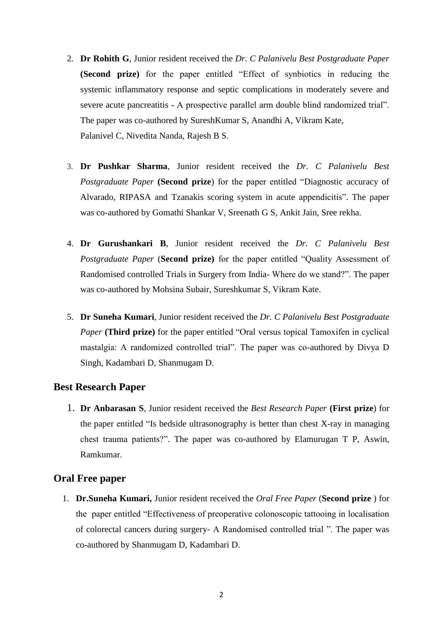- 2. **Dr Rohith G**, Junior resident received the *Dr. C Palanivelu Best Postgraduate Paper* **(Second prize)** for the paper entitled "Effect of synbiotics in reducing the systemic inflammatory response and septic complications in moderately severe and severe acute pancreatitis - A prospective parallel arm double blind randomized trial". The paper was co-authored by SureshKumar S, Anandhi A, Vikram Kate, Palanivel C, Nivedita Nanda, Rajesh B S.
- 3. **Dr Pushkar Sharma**, Junior resident received the *Dr. C Palanivelu Best Postgraduate Paper* **(Second prize**) for the paper entitled "Diagnostic accuracy of Alvarado, RIPASA and Tzanakis scoring system in acute appendicitis". The paper was co-authored by Gomathi Shankar V, Sreenath G S, Ankit Jain, Sree rekha.
- 4. **Dr Gurushankari B**, Junior resident received the *Dr. C Palanivelu Best Postgraduate Paper* (**Second prize)** for the paper entitled "Quality Assessment of Randomised controlled Trials in Surgery from India- Where do we stand?". The paper was co-authored by Mohsina Subair, Sureshkumar S, Vikram Kate.
- 5. **Dr Suneha Kumari**, Junior resident received the *Dr. C Palanivelu Best Postgraduate Paper* **(Third prize)** for the paper entitled "Oral versus topical Tamoxifen in cyclical mastalgia: A randomized controlled trial". The paper was co-authored by Divya D Singh, Kadambari D, Shanmugam D.

# **Best Research Paper**

1. **Dr Anbarasan S**, Junior resident received the *Best Research Paper* **(First prize**) for the paper entitled "Is bedside ultrasonography is better than chest X-ray in managing chest trauma patients?". The paper was co-authored by Elamurugan T P, Aswin, Ramkumar.

## **Oral Free paper**

1. **Dr.Suneha Kumari,** Junior resident received the *Oral Free Paper* (**Second prize** ) for the paper entitled "Effectiveness of preoperative colonoscopic tattooing in localisation of colorectal cancers during surgery- A Randomised controlled trial ". The paper was co-authored by Shanmugam D, Kadambari D.